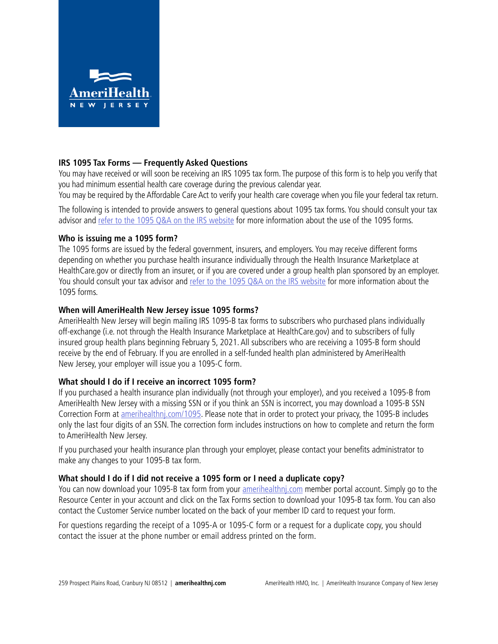

## **IRS 1095 Tax Forms — Frequently Asked Questions**

You may have received or will soon be receiving an IRS 1095 tax form. The purpose of this form is to help you verify that you had minimum essential health care coverage during the previous calendar year.

You may be required by the Affordable Care Act to verify your health care coverage when you file your federal tax return.

The following is intended to provide answers to general questions about 1095 tax forms. You should consult your tax advisor and [refer to the 1095 Q&A on the IRS website](https://www.irs.gov/affordable-care-act/questions-and-answers-about-health-care-information-forms-for-individuals) for more information about the use of the 1095 forms.

## **Who is issuing me a 1095 form?**

The 1095 forms are issued by the federal government, insurers, and employers. You may receive different forms depending on whether you purchase health insurance individually through the Health Insurance Marketplace at HealthCare.gov or directly from an insurer, or if you are covered under a group health plan sponsored by an employer. You should consult your tax advisor and [refer to the 1095 Q&A on the IRS website](https://www.irs.gov/affordable-care-act/questions-and-answers-about-health-care-information-forms-for-individuals) for more information about the 1095 forms.

## **When will AmeriHealth New Jersey issue 1095 forms?**

AmeriHealth New Jersey will begin mailing IRS 1095-B tax forms to subscribers who purchased plans individually off-exchange (i.e. not through the Health Insurance Marketplace at HealthCare.gov) and to subscribers of fully insured group health plans beginning February 5, 2021. All subscribers who are receiving a 1095-B form should receive by the end of February. If you are enrolled in a self-funded health plan administered by AmeriHealth New Jersey, your employer will issue you a 1095-C form.

# **What should I do if I receive an incorrect 1095 form?**

If you purchased a health insurance plan individually (not through your employer), and you received a 1095-B from AmeriHealth New Jersey with a missing SSN or if you think an SSN is incorrect, you may download a 1095-B SSN Correction Form at [amerihealthnj.com/1095](https://www.amerihealthnj.com/html/custom/1095_forms.html). Please note that in order to protect your privacy, the 1095-B includes only the last four digits of an SSN. The correction form includes instructions on how to complete and return the form to AmeriHealth New Jersey.

If you purchased your health insurance plan through your employer, please contact your benefits administrator to make any changes to your 1095-B tax form.

## **What should I do if I did not receive a 1095 form or I need a duplicate copy?**

You can now download your 1095-B tax form from your [amerihealthnj.com](https://www.amerihealth.com/login) member portal account. Simply go to the Resource Center in your account and click on the Tax Forms section to download your 1095-B tax form. You can also contact the Customer Service number located on the back of your member ID card to request your form.

For questions regarding the receipt of a 1095-A or 1095-C form or a request for a duplicate copy, you should contact the issuer at the phone number or email address printed on the form.